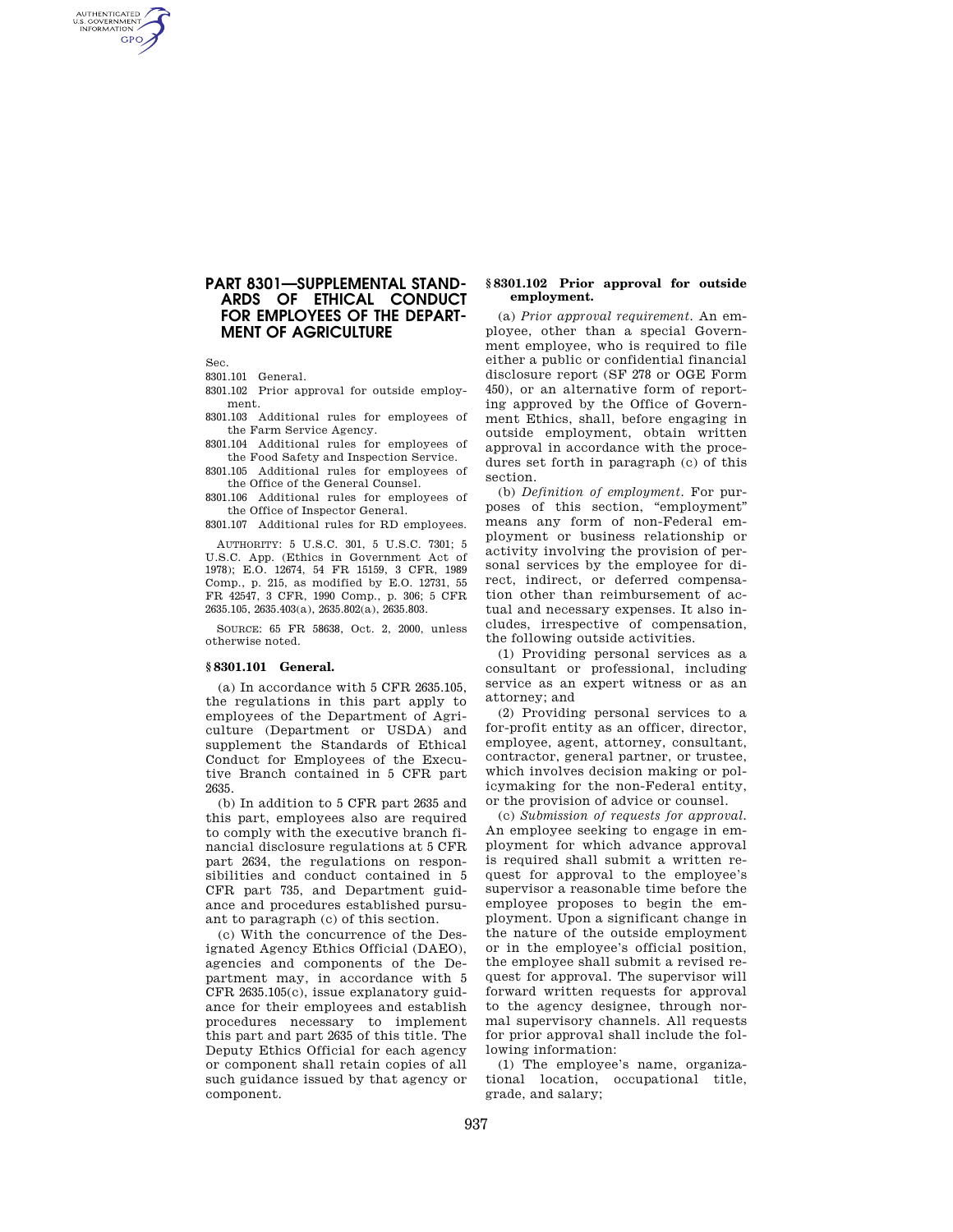# **PART 8301—SUPPLEMENTAL STAND-ARDS OF ETHICAL CONDUCT FOR EMPLOYEES OF THE DEPART-MENT OF AGRICULTURE**

Sec.

AUTHENTICATED<br>U.S. GOVERNMENT<br>INFORMATION **GPO** 

8301.101 General.

8301.102 Prior approval for outside employment.

8301.103 Additional rules for employees of the Farm Service Agency.

8301.104 Additional rules for employees of the Food Safety and Inspection Service.

8301.105 Additional rules for employees of the Office of the General Counsel.

8301.106 Additional rules for employees of the Office of Inspector General.

8301.107 Additional rules for RD employees.

AUTHORITY: 5 U.S.C. 301, 5 U.S.C. 7301; 5 U.S.C. App. (Ethics in Government Act of 1978); E.O. 12674, 54 FR 15159, 3 CFR, 1989 Comp., p. 215, as modified by E.O. 12731, 55 FR 42547, 3 CFR, 1990 Comp., p. 306; 5 CFR 2635.105, 2635.403(a), 2635.802(a), 2635.803.

SOURCE: 65 FR 58638, Oct. 2, 2000, unless otherwise noted.

## **§ 8301.101 General.**

(a) In accordance with 5 CFR 2635.105, the regulations in this part apply to employees of the Department of Agriculture (Department or USDA) and supplement the Standards of Ethical Conduct for Employees of the Executive Branch contained in 5 CFR part 2635.

(b) In addition to 5 CFR part 2635 and this part, employees also are required to comply with the executive branch financial disclosure regulations at 5 CFR part 2634, the regulations on responsibilities and conduct contained in 5 CFR part 735, and Department guidance and procedures established pursuant to paragraph (c) of this section.

(c) With the concurrence of the Designated Agency Ethics Official (DAEO), agencies and components of the Department may, in accordance with 5 CFR 2635.105(c), issue explanatory guidance for their employees and establish procedures necessary to implement this part and part 2635 of this title. The Deputy Ethics Official for each agency or component shall retain copies of all such guidance issued by that agency or component.

### **§ 8301.102 Prior approval for outside employment.**

(a) *Prior approval requirement.* An employee, other than a special Government employee, who is required to file either a public or confidential financial disclosure report (SF 278 or OGE Form 450), or an alternative form of reporting approved by the Office of Government Ethics, shall, before engaging in outside employment, obtain written approval in accordance with the procedures set forth in paragraph (c) of this section.

(b) *Definition of employment.* For purposes of this section, "employment" means any form of non-Federal employment or business relationship or activity involving the provision of personal services by the employee for direct, indirect, or deferred compensation other than reimbursement of actual and necessary expenses. It also includes, irrespective of compensation, the following outside activities.

(1) Providing personal services as a consultant or professional, including service as an expert witness or as an attorney; and

(2) Providing personal services to a for-profit entity as an officer, director, employee, agent, attorney, consultant, contractor, general partner, or trustee, which involves decision making or policymaking for the non-Federal entity, or the provision of advice or counsel.

(c) *Submission of requests for approval.*  An employee seeking to engage in employment for which advance approval is required shall submit a written request for approval to the employee's supervisor a reasonable time before the employee proposes to begin the employment. Upon a significant change in the nature of the outside employment or in the employee's official position, the employee shall submit a revised request for approval. The supervisor will forward written requests for approval to the agency designee, through normal supervisory channels. All requests for prior approval shall include the following information:

(1) The employee's name, organizational location, occupational title, grade, and salary;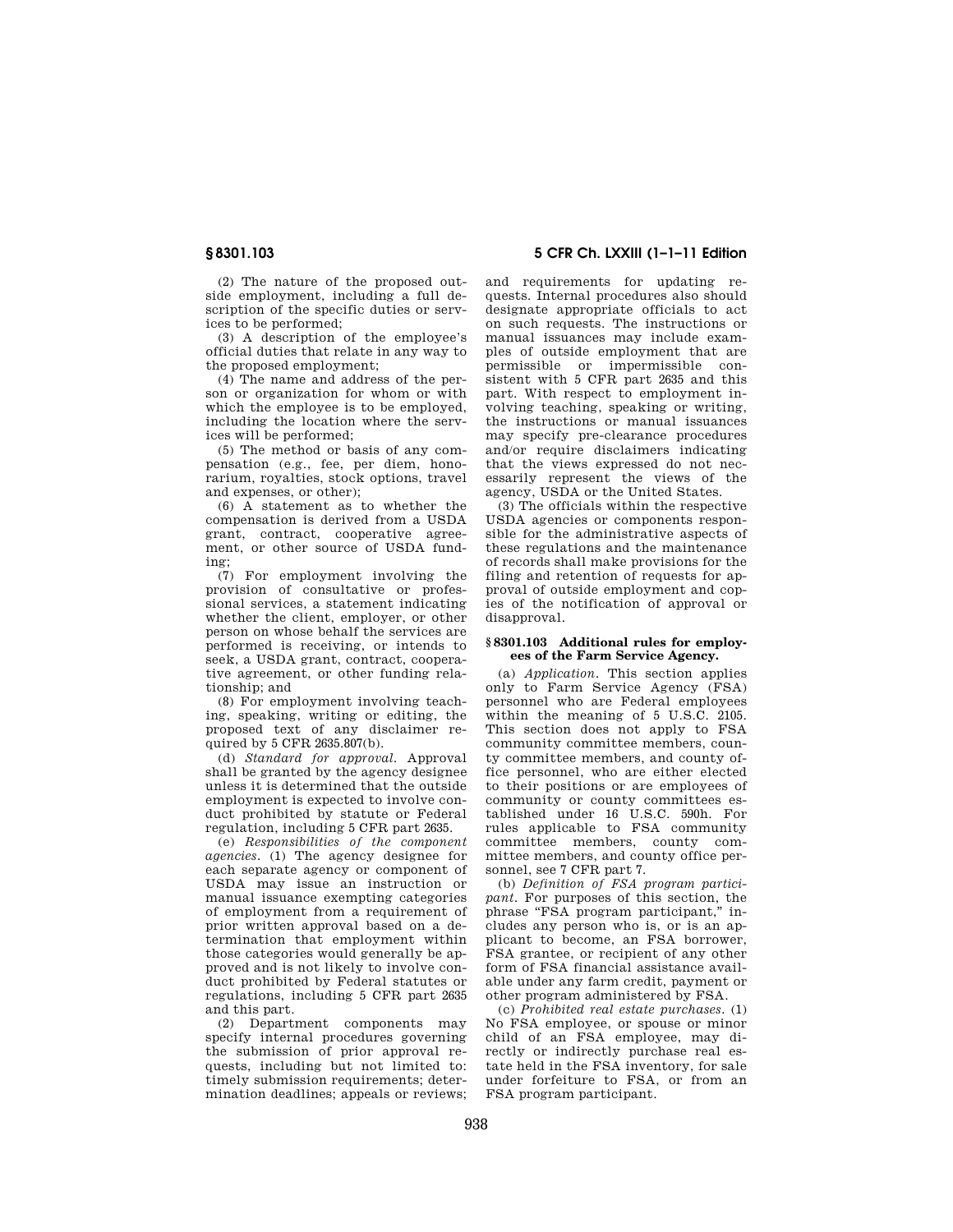(2) The nature of the proposed outside employment, including a full description of the specific duties or services to be performed;

(3) A description of the employee's official duties that relate in any way to the proposed employment;

(4) The name and address of the person or organization for whom or with which the employee is to be employed, including the location where the services will be performed;

(5) The method or basis of any compensation (e.g., fee, per diem, honorarium, royalties, stock options, travel and expenses, or other);

(6) A statement as to whether the compensation is derived from a USDA grant, contract, cooperative agreement, or other source of USDA funding;

(7) For employment involving the provision of consultative or professional services, a statement indicating whether the client, employer, or other person on whose behalf the services are performed is receiving, or intends to seek, a USDA grant, contract, cooperative agreement, or other funding relationship; and

(8) For employment involving teaching, speaking, writing or editing, the proposed text of any disclaimer required by  $5$  CFR  $2635.807(b)$ .

(d) *Standard for approval.* Approval shall be granted by the agency designee unless it is determined that the outside employment is expected to involve conduct prohibited by statute or Federal regulation, including 5 CFR part 2635.

(e) *Responsibilities of the component agencies.* (1) The agency designee for each separate agency or component of USDA may issue an instruction or manual issuance exempting categories of employment from a requirement of prior written approval based on a determination that employment within those categories would generally be approved and is not likely to involve conduct prohibited by Federal statutes or regulations, including 5 CFR part 2635 and this part.

(2) Department components may specify internal procedures governing the submission of prior approval requests, including but not limited to: timely submission requirements; determination deadlines; appeals or reviews;

**§ 8301.103 5 CFR Ch. LXXIII (1–1–11 Edition** 

and requirements for updating requests. Internal procedures also should designate appropriate officials to act on such requests. The instructions or manual issuances may include examples of outside employment that are permissible or impermissible consistent with 5 CFR part 2635 and this part. With respect to employment involving teaching, speaking or writing, the instructions or manual issuances may specify pre-clearance procedures and/or require disclaimers indicating that the views expressed do not necessarily represent the views of the agency, USDA or the United States.

(3) The officials within the respective USDA agencies or components responsible for the administrative aspects of these regulations and the maintenance of records shall make provisions for the filing and retention of requests for approval of outside employment and copies of the notification of approval or disapproval.

#### **§ 8301.103 Additional rules for employees of the Farm Service Agency.**

(a) *Application.* This section applies only to Farm Service Agency (FSA) personnel who are Federal employees within the meaning of 5 U.S.C. 2105. This section does not apply to FSA community committee members, county committee members, and county office personnel, who are either elected to their positions or are employees of community or county committees established under 16 U.S.C. 590h. For rules applicable to FSA community committee members, county committee members, and county office personnel, see 7 CFR part 7.

(b) *Definition of FSA program participant.* For purposes of this section, the phrase "FSA program participant," includes any person who is, or is an applicant to become, an FSA borrower, FSA grantee, or recipient of any other form of FSA financial assistance available under any farm credit, payment or other program administered by FSA.

(c) *Prohibited real estate purchases.* (1) No FSA employee, or spouse or minor child of an FSA employee, may directly or indirectly purchase real estate held in the FSA inventory, for sale under forfeiture to FSA, or from an FSA program participant.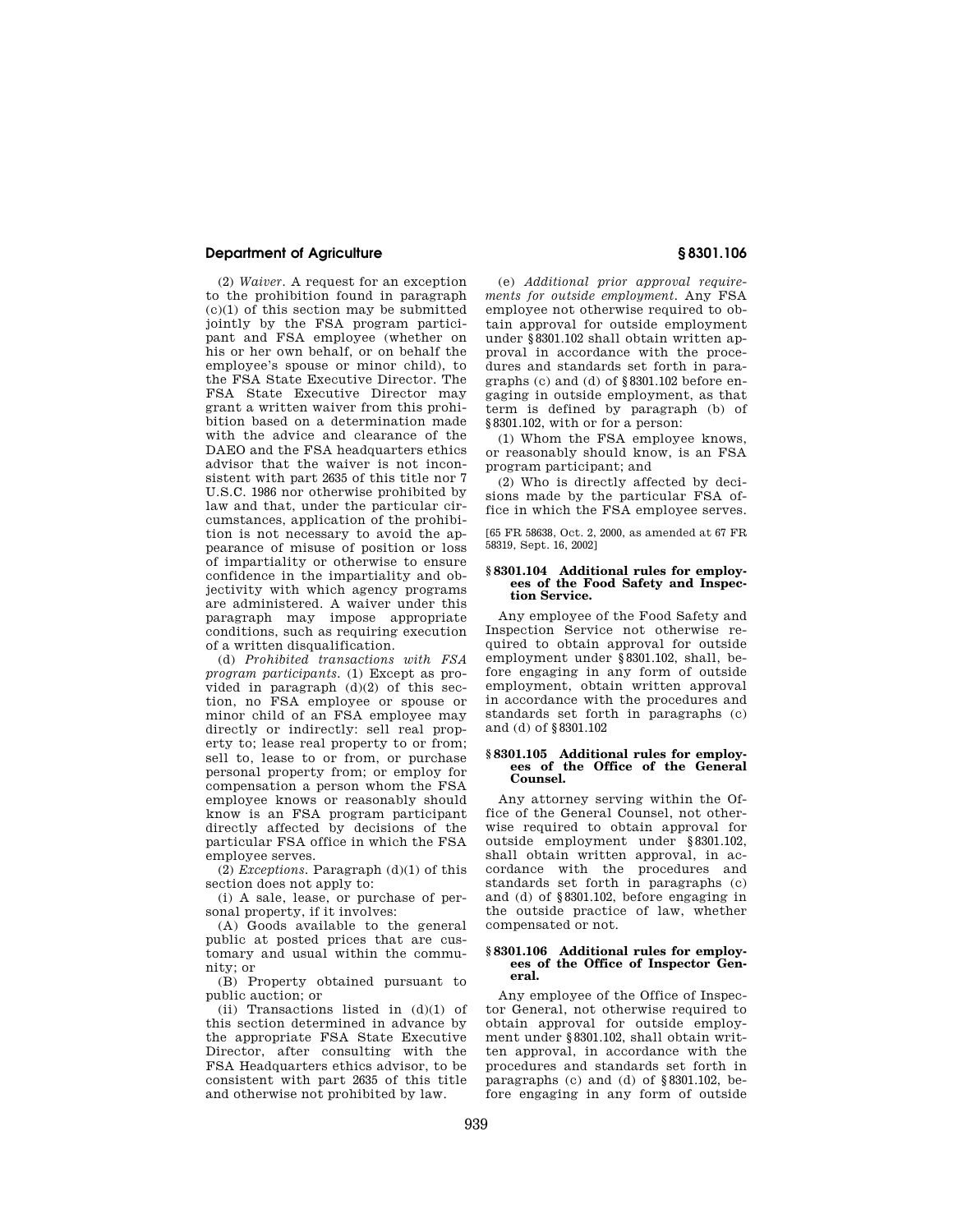## **Department of Agriculture § 8301.106**

(2) *Waiver.* A request for an exception to the prohibition found in paragraph  $(c)(1)$  of this section may be submitted jointly by the FSA program participant and FSA employee (whether on his or her own behalf, or on behalf the employee's spouse or minor child), to the FSA State Executive Director. The FSA State Executive Director may grant a written waiver from this prohibition based on a determination made with the advice and clearance of the DAEO and the FSA headquarters ethics advisor that the waiver is not inconsistent with part 2635 of this title nor 7 U.S.C. 1986 nor otherwise prohibited by law and that, under the particular circumstances, application of the prohibition is not necessary to avoid the appearance of misuse of position or loss of impartiality or otherwise to ensure confidence in the impartiality and objectivity with which agency programs are administered. A waiver under this paragraph may impose appropriate conditions, such as requiring execution of a written disqualification.

(d) *Prohibited transactions with FSA program participants.* (1) Except as provided in paragraph  $(d)(2)$  of this section, no FSA employee or spouse or minor child of an FSA employee may directly or indirectly: sell real property to; lease real property to or from; sell to, lease to or from, or purchase personal property from; or employ for compensation a person whom the FSA employee knows or reasonably should know is an FSA program participant directly affected by decisions of the particular FSA office in which the FSA employee serves.

(2) *Exceptions.* Paragraph (d)(1) of this section does not apply to:

(i) A sale, lease, or purchase of personal property, if it involves:

(A) Goods available to the general public at posted prices that are customary and usual within the community; or

(B) Property obtained pursuant to public auction; or

(ii) Transactions listed in  $(d)(1)$  of this section determined in advance by the appropriate FSA State Executive Director, after consulting with the FSA Headquarters ethics advisor, to be consistent with part 2635 of this title and otherwise not prohibited by law.

(e) *Additional prior approval requirements for outside employment.* Any FSA employee not otherwise required to obtain approval for outside employment under §8301.102 shall obtain written approval in accordance with the procedures and standards set forth in paragraphs (c) and (d) of §8301.102 before engaging in outside employment, as that term is defined by paragraph (b) of §8301.102, with or for a person:

(1) Whom the FSA employee knows, or reasonably should know, is an FSA program participant; and

(2) Who is directly affected by decisions made by the particular FSA office in which the FSA employee serves.

[65 FR 58638, Oct. 2, 2000, as amended at 67 FR 58319, Sept. 16, 2002]

### **§ 8301.104 Additional rules for employees of the Food Safety and Inspection Service.**

Any employee of the Food Safety and Inspection Service not otherwise required to obtain approval for outside employment under §8301.102, shall, before engaging in any form of outside employment, obtain written approval in accordance with the procedures and standards set forth in paragraphs (c) and (d) of §8301.102

### **§ 8301.105 Additional rules for employees of the Office of the General Counsel.**

Any attorney serving within the Office of the General Counsel, not otherwise required to obtain approval for outside employment under §8301.102, shall obtain written approval, in accordance with the procedures and standards set forth in paragraphs (c) and (d) of §8301.102, before engaging in the outside practice of law, whether compensated or not.

#### **§ 8301.106 Additional rules for employees of the Office of Inspector General.**

Any employee of the Office of Inspector General, not otherwise required to obtain approval for outside employment under §8301.102, shall obtain written approval, in accordance with the procedures and standards set forth in paragraphs (c) and (d) of §8301.102, before engaging in any form of outside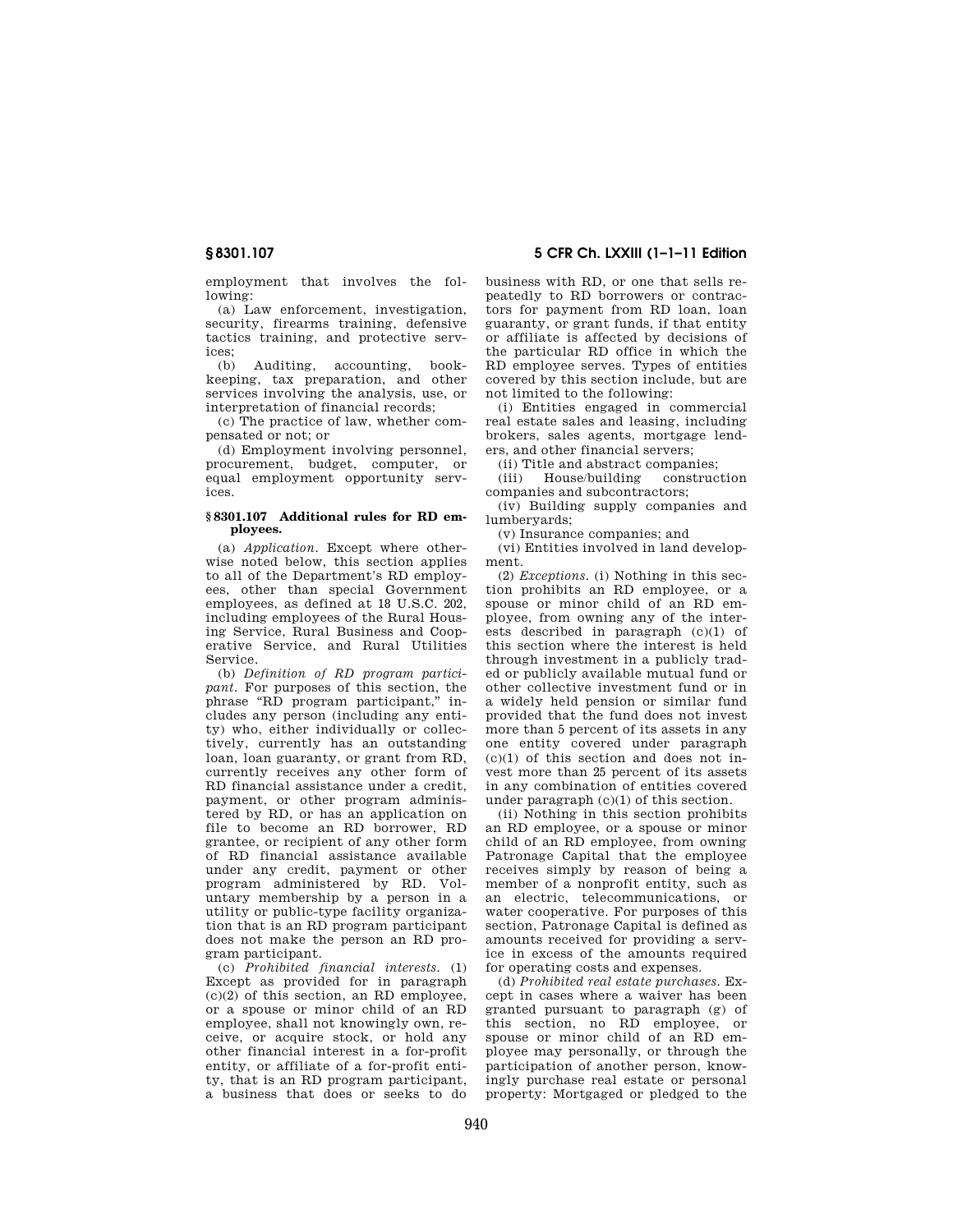employment that involves the following:

(a) Law enforcement, investigation, security, firearms training, defensive tactics training, and protective services;<br> $\frac{1}{(h)}$ 

Auditing, accounting, bookkeeping, tax preparation, and other services involving the analysis, use, or interpretation of financial records;

(c) The practice of law, whether compensated or not; or

(d) Employment involving personnel, procurement, budget, computer, or equal employment opportunity services.

#### **§ 8301.107 Additional rules for RD employees.**

(a) *Application.* Except where otherwise noted below, this section applies to all of the Department's RD employees, other than special Government employees, as defined at 18 U.S.C. 202, including employees of the Rural Housing Service, Rural Business and Cooperative Service, and Rural Utilities Service.

(b) *Definition of RD program participant.* For purposes of this section, the phrase "RD program participant," includes any person (including any entity) who, either individually or collectively, currently has an outstanding loan, loan guaranty, or grant from RD, currently receives any other form of RD financial assistance under a credit, payment, or other program administered by RD, or has an application on file to become an RD borrower, RD grantee, or recipient of any other form of RD financial assistance available under any credit, payment or other program administered by RD. Voluntary membership by a person in a utility or public-type facility organization that is an RD program participant does not make the person an RD program participant.

(c) *Prohibited financial interests.* (1) Except as provided for in paragraph  $(c)(2)$  of this section, an RD employee, or a spouse or minor child of an RD employee, shall not knowingly own, receive, or acquire stock, or hold any other financial interest in a for-profit entity, or affiliate of a for-profit entity, that is an RD program participant, a business that does or seeks to do business with RD, or one that sells repeatedly to RD borrowers or contractors for payment from RD loan, loan guaranty, or grant funds, if that entity or affiliate is affected by decisions of the particular RD office in which the RD employee serves. Types of entities covered by this section include, but are not limited to the following:

(i) Entities engaged in commercial real estate sales and leasing, including brokers, sales agents, mortgage lenders, and other financial servers;

(ii) Title and abstract companies;

(iii) House/building construction companies and subcontractors;

(iv) Building supply companies and lumberyards;

(v) Insurance companies; and

(vi) Entities involved in land development.

(2) *Exceptions.* (i) Nothing in this section prohibits an RD employee, or a spouse or minor child of an RD employee, from owning any of the interests described in paragraph (c)(1) of this section where the interest is held through investment in a publicly traded or publicly available mutual fund or other collective investment fund or in a widely held pension or similar fund provided that the fund does not invest more than 5 percent of its assets in any one entity covered under paragraph (c)(1) of this section and does not invest more than 25 percent of its assets in any combination of entities covered under paragraph (c)(1) of this section.

(ii) Nothing in this section prohibits an RD employee, or a spouse or minor child of an RD employee, from owning Patronage Capital that the employee receives simply by reason of being a member of a nonprofit entity, such as an electric, telecommunications, or water cooperative. For purposes of this section, Patronage Capital is defined as amounts received for providing a service in excess of the amounts required for operating costs and expenses.

(d) *Prohibited real estate purchases.* Except in cases where a waiver has been granted pursuant to paragraph (g) of this section, no RD employee, or spouse or minor child of an RD employee may personally, or through the participation of another person, knowingly purchase real estate or personal property: Mortgaged or pledged to the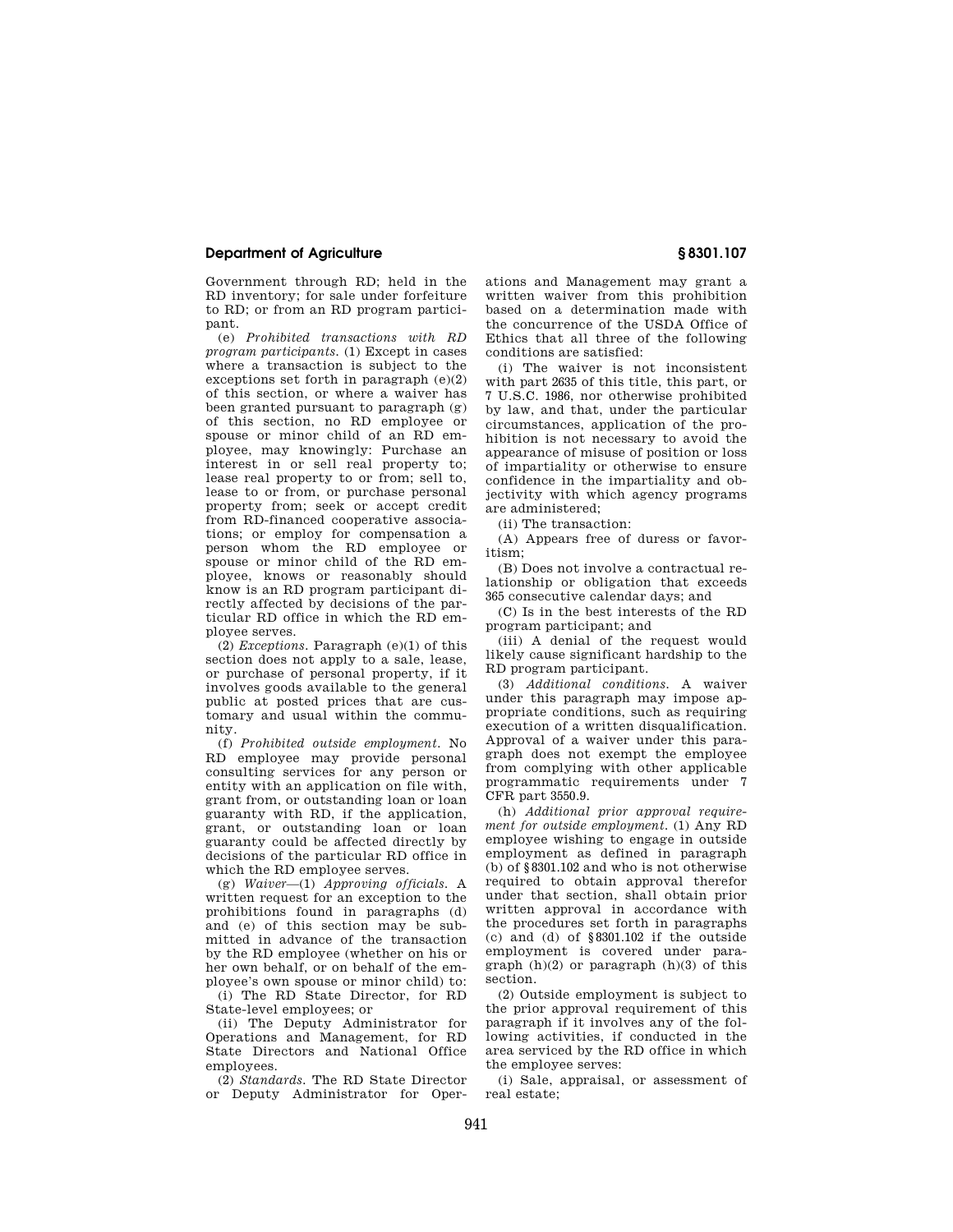## **Department of Agriculture § 8301.107**

Government through RD; held in the RD inventory; for sale under forfeiture to RD; or from an RD program participant.

(e) *Prohibited transactions with RD program participants.* (1) Except in cases where a transaction is subject to the exceptions set forth in paragraph  $(e)(2)$ of this section, or where a waiver has been granted pursuant to paragraph (g) of this section, no RD employee or spouse or minor child of an RD employee, may knowingly: Purchase an interest in or sell real property to; lease real property to or from; sell to, lease to or from, or purchase personal property from; seek or accept credit from RD-financed cooperative associations; or employ for compensation a person whom the RD employee or spouse or minor child of the RD employee, knows or reasonably should know is an RD program participant directly affected by decisions of the particular RD office in which the RD employee serves.

(2) *Exceptions.* Paragraph (e)(1) of this section does not apply to a sale, lease, or purchase of personal property, if it involves goods available to the general public at posted prices that are customary and usual within the community.

(f) *Prohibited outside employment.* No RD employee may provide personal consulting services for any person or entity with an application on file with, grant from, or outstanding loan or loan guaranty with RD, if the application, grant, or outstanding loan or loan guaranty could be affected directly by decisions of the particular RD office in which the RD employee serves.

(g) *Waiver*—(1) *Approving officials.* A written request for an exception to the prohibitions found in paragraphs (d) and (e) of this section may be submitted in advance of the transaction by the RD employee (whether on his or her own behalf, or on behalf of the employee's own spouse or minor child) to:

(i) The RD State Director, for RD State-level employees; or

(ii) The Deputy Administrator for Operations and Management, for RD State Directors and National Office employees.

(2) *Standards.* The RD State Director or Deputy Administrator for Operations and Management may grant a written waiver from this prohibition based on a determination made with the concurrence of the USDA Office of Ethics that all three of the following conditions are satisfied:

(i) The waiver is not inconsistent with part 2635 of this title, this part, or 7 U.S.C. 1986, nor otherwise prohibited by law, and that, under the particular circumstances, application of the prohibition is not necessary to avoid the appearance of misuse of position or loss of impartiality or otherwise to ensure confidence in the impartiality and objectivity with which agency programs are administered;

(ii) The transaction:

(A) Appears free of duress or favoritism;

(B) Does not involve a contractual relationship or obligation that exceeds 365 consecutive calendar days; and

(C) Is in the best interests of the RD program participant; and

(iii) A denial of the request would likely cause significant hardship to the RD program participant.

(3) *Additional conditions.* A waiver under this paragraph may impose appropriate conditions, such as requiring execution of a written disqualification. Approval of a waiver under this paragraph does not exempt the employee from complying with other applicable programmatic requirements under 7 CFR part 3550.9.

(h) *Additional prior approval requirement for outside employment.* (1) Any RD employee wishing to engage in outside employment as defined in paragraph (b) of §8301.102 and who is not otherwise required to obtain approval therefor under that section, shall obtain prior written approval in accordance with the procedures set forth in paragraphs (c) and (d) of §8301.102 if the outside employment is covered under paragraph  $(h)(2)$  or paragraph  $(h)(3)$  of this section.

(2) Outside employment is subject to the prior approval requirement of this paragraph if it involves any of the following activities, if conducted in the area serviced by the RD office in which the employee serves:

(i) Sale, appraisal, or assessment of real estate;